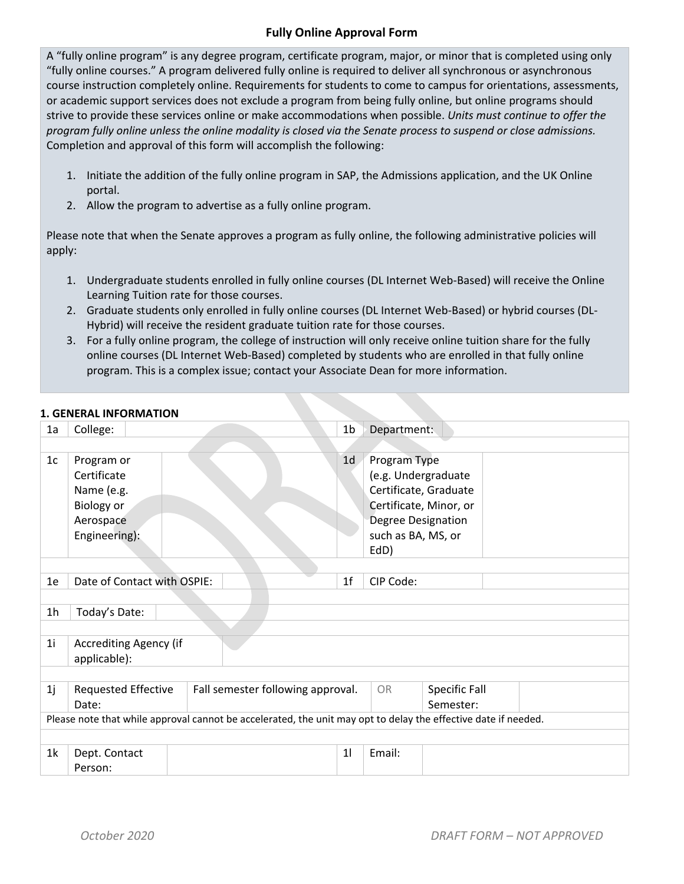## **Fully Online Approval Form**

A "fully online program" is any degree program, certificate program, major, or minor that is completed using only "fully online courses." A program delivered fully online is required to deliver all synchronous or asynchronous course instruction completely online. Requirements for students to come to campus for orientations, assessments, or academic support services does not exclude a program from being fully online, but online programs should strive to provide these services online or make accommodations when possible. *Units must continue to offer the program fully online unless the online modality is closed via the Senate process to suspend or close admissions.* Completion and approval of this form will accomplish the following:

- 1. Initiate the addition of the fully online program in SAP, the Admissions application, and the UK Online portal.
- 2. Allow the program to advertise as a fully online program.

Please note that when the Senate approves a program as fully online, the following administrative policies will apply:

- 1. Undergraduate students enrolled in fully online courses (DL Internet Web-Based) will receive the Online Learning Tuition rate for those courses.
- 2. Graduate students only enrolled in fully online courses (DL Internet Web-Based) or hybrid courses (DL-Hybrid) will receive the resident graduate tuition rate for those courses.
- 3. For a fully online program, the college of instruction will only receive online tuition share for the fully online courses (DL Internet Web-Based) completed by students who are enrolled in that fully online program. This is a complex issue; contact your Associate Dean for more information.

### **1. GENERAL INFORMATION**

| 1a             | College:                                                                                                       |                                   | 1 <sub>b</sub> | Department:            |               |  |  |
|----------------|----------------------------------------------------------------------------------------------------------------|-----------------------------------|----------------|------------------------|---------------|--|--|
|                |                                                                                                                |                                   |                |                        |               |  |  |
| 1 <sub>c</sub> | Program or                                                                                                     |                                   | 1 <sub>d</sub> | Program Type           |               |  |  |
|                | Certificate                                                                                                    |                                   |                | (e.g. Undergraduate    |               |  |  |
|                | Name (e.g.                                                                                                     |                                   |                | Certificate, Graduate  |               |  |  |
|                | <b>Biology or</b>                                                                                              |                                   |                | Certificate, Minor, or |               |  |  |
|                | Aerospace                                                                                                      |                                   |                | Degree Designation     |               |  |  |
|                | Engineering):                                                                                                  |                                   |                | such as BA, MS, or     |               |  |  |
|                |                                                                                                                |                                   |                | EdD)                   |               |  |  |
|                |                                                                                                                |                                   |                |                        |               |  |  |
| 1e             | Date of Contact with OSPIE:                                                                                    |                                   | 1 <sub>f</sub> | CIP Code:              |               |  |  |
|                |                                                                                                                |                                   |                |                        |               |  |  |
| 1 <sub>h</sub> | Today's Date:                                                                                                  |                                   |                |                        |               |  |  |
|                |                                                                                                                |                                   |                |                        |               |  |  |
| 1 <sub>i</sub> | <b>Accrediting Agency (if</b>                                                                                  |                                   |                |                        |               |  |  |
|                | applicable):                                                                                                   |                                   |                |                        |               |  |  |
|                |                                                                                                                |                                   |                |                        |               |  |  |
| 1j             | <b>Requested Effective</b>                                                                                     | Fall semester following approval. |                | OR                     | Specific Fall |  |  |
|                | Date:                                                                                                          |                                   |                |                        | Semester:     |  |  |
|                | Please note that while approval cannot be accelerated, the unit may opt to delay the effective date if needed. |                                   |                |                        |               |  |  |
|                |                                                                                                                |                                   |                |                        |               |  |  |
| 1k             | Dept. Contact                                                                                                  |                                   | 11             | Email:                 |               |  |  |
|                | Person:                                                                                                        |                                   |                |                        |               |  |  |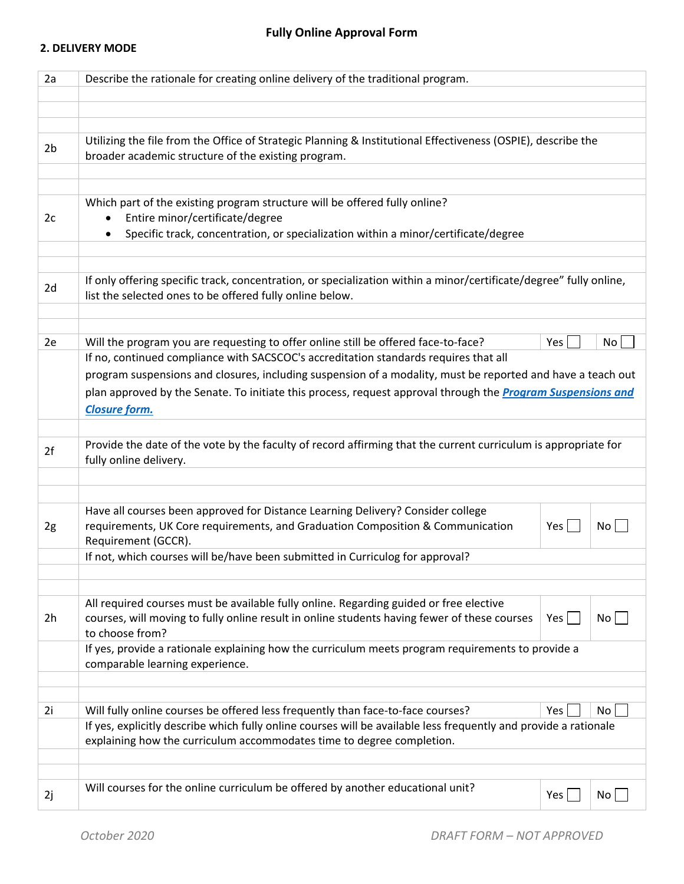#### **2. DELIVERY MODE**

| 2a             | Describe the rationale for creating online delivery of the traditional program.                                                                                                |     |    |  |
|----------------|--------------------------------------------------------------------------------------------------------------------------------------------------------------------------------|-----|----|--|
|                |                                                                                                                                                                                |     |    |  |
|                |                                                                                                                                                                                |     |    |  |
| 2 <sub>b</sub> | Utilizing the file from the Office of Strategic Planning & Institutional Effectiveness (OSPIE), describe the<br>broader academic structure of the existing program.            |     |    |  |
|                |                                                                                                                                                                                |     |    |  |
|                |                                                                                                                                                                                |     |    |  |
|                | Which part of the existing program structure will be offered fully online?                                                                                                     |     |    |  |
| 2c             | Entire minor/certificate/degree                                                                                                                                                |     |    |  |
|                | Specific track, concentration, or specialization within a minor/certificate/degree<br>$\bullet$                                                                                |     |    |  |
|                |                                                                                                                                                                                |     |    |  |
| 2d             | If only offering specific track, concentration, or specialization within a minor/certificate/degree" fully online,<br>list the selected ones to be offered fully online below. |     |    |  |
|                |                                                                                                                                                                                |     |    |  |
| 2e             | Will the program you are requesting to offer online still be offered face-to-face?                                                                                             | Yes | No |  |
|                | If no, continued compliance with SACSCOC's accreditation standards requires that all                                                                                           |     |    |  |
|                | program suspensions and closures, including suspension of a modality, must be reported and have a teach out                                                                    |     |    |  |
|                | plan approved by the Senate. To initiate this process, request approval through the Program Suspensions and                                                                    |     |    |  |
|                | <b>Closure form.</b>                                                                                                                                                           |     |    |  |
|                |                                                                                                                                                                                |     |    |  |
| 2f             | Provide the date of the vote by the faculty of record affirming that the current curriculum is appropriate for<br>fully online delivery.                                       |     |    |  |
|                |                                                                                                                                                                                |     |    |  |
|                |                                                                                                                                                                                |     |    |  |
| 2g             | Have all courses been approved for Distance Learning Delivery? Consider college<br>requirements, UK Core requirements, and Graduation Composition & Communication              | Yes | No |  |
|                | Requirement (GCCR).                                                                                                                                                            |     |    |  |
|                | If not, which courses will be/have been submitted in Curriculog for approval?                                                                                                  |     |    |  |
|                |                                                                                                                                                                                |     |    |  |
|                | All required courses must be available fully online. Regarding guided or free elective                                                                                         |     |    |  |
| 2h             | courses, will moving to fully online result in online students having fewer of these courses<br>to choose from?                                                                | Yes | No |  |
|                | If yes, provide a rationale explaining how the curriculum meets program requirements to provide a<br>comparable learning experience.                                           |     |    |  |
|                |                                                                                                                                                                                |     |    |  |
| 2i             | Will fully online courses be offered less frequently than face-to-face courses?                                                                                                | Yes | No |  |
|                | If yes, explicitly describe which fully online courses will be available less frequently and provide a rationale                                                               |     |    |  |
|                | explaining how the curriculum accommodates time to degree completion.                                                                                                          |     |    |  |
|                |                                                                                                                                                                                |     |    |  |
|                |                                                                                                                                                                                |     |    |  |
| 2j             | Will courses for the online curriculum be offered by another educational unit?                                                                                                 | Yes | No |  |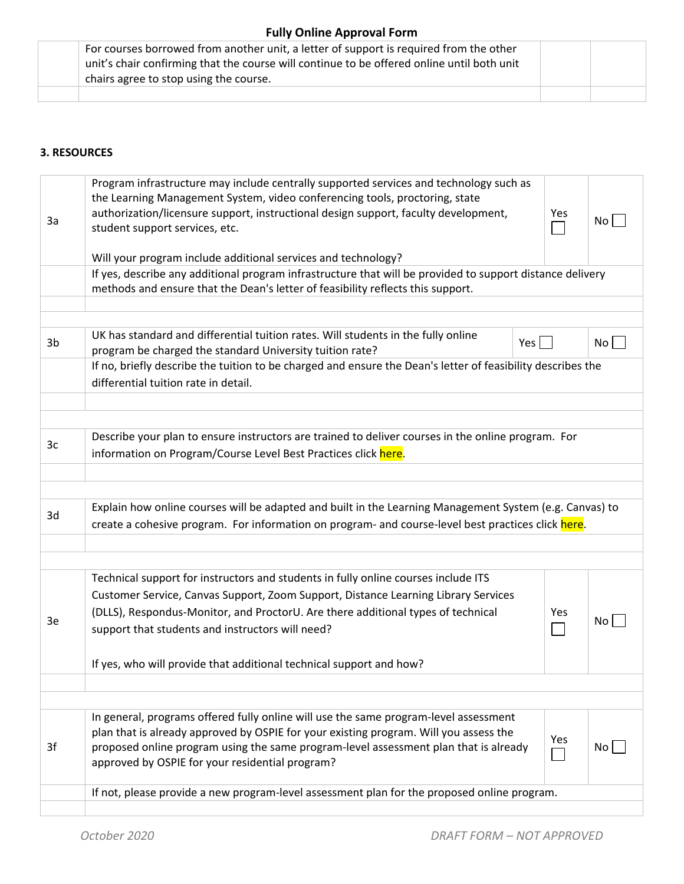# **Fully Online Approval Form**

|  | For courses borrowed from another unit, a letter of support is required from the other     |  |
|--|--------------------------------------------------------------------------------------------|--|
|  | unit's chair confirming that the course will continue to be offered online until both unit |  |
|  | chairs agree to stop using the course.                                                     |  |
|  |                                                                                            |  |

## **3. RESOURCES**

| 3a | Program infrastructure may include centrally supported services and technology such as<br>the Learning Management System, video conferencing tools, proctoring, state<br>authorization/licensure support, instructional design support, faculty development,<br>student support services, etc.<br>Will your program include additional services and technology? | Yes | No <sub>1</sub> |
|----|-----------------------------------------------------------------------------------------------------------------------------------------------------------------------------------------------------------------------------------------------------------------------------------------------------------------------------------------------------------------|-----|-----------------|
|    | If yes, describe any additional program infrastructure that will be provided to support distance delivery                                                                                                                                                                                                                                                       |     |                 |
|    | methods and ensure that the Dean's letter of feasibility reflects this support.                                                                                                                                                                                                                                                                                 |     |                 |
|    |                                                                                                                                                                                                                                                                                                                                                                 |     |                 |
|    |                                                                                                                                                                                                                                                                                                                                                                 |     |                 |
| 3b | UK has standard and differential tuition rates. Will students in the fully online<br>program be charged the standard University tuition rate?                                                                                                                                                                                                                   | Yes | No              |
|    | If no, briefly describe the tuition to be charged and ensure the Dean's letter of feasibility describes the<br>differential tuition rate in detail.                                                                                                                                                                                                             |     |                 |
|    |                                                                                                                                                                                                                                                                                                                                                                 |     |                 |
|    |                                                                                                                                                                                                                                                                                                                                                                 |     |                 |
| 3c | Describe your plan to ensure instructors are trained to deliver courses in the online program. For<br>information on Program/Course Level Best Practices click here.                                                                                                                                                                                            |     |                 |
|    |                                                                                                                                                                                                                                                                                                                                                                 |     |                 |
|    |                                                                                                                                                                                                                                                                                                                                                                 |     |                 |
| 3d | Explain how online courses will be adapted and built in the Learning Management System (e.g. Canvas) to<br>create a cohesive program. For information on program- and course-level best practices click here.                                                                                                                                                   |     |                 |
|    |                                                                                                                                                                                                                                                                                                                                                                 |     |                 |
|    |                                                                                                                                                                                                                                                                                                                                                                 |     |                 |
|    | Technical support for instructors and students in fully online courses include ITS<br>Customer Service, Canvas Support, Zoom Support, Distance Learning Library Services<br>(DLLS), Respondus-Monitor, and ProctorU. Are there additional types of technical                                                                                                    | Yes |                 |
| 3e | support that students and instructors will need?                                                                                                                                                                                                                                                                                                                |     | No <sub>1</sub> |
|    | If yes, who will provide that additional technical support and how?                                                                                                                                                                                                                                                                                             |     |                 |
|    |                                                                                                                                                                                                                                                                                                                                                                 |     |                 |
|    |                                                                                                                                                                                                                                                                                                                                                                 |     |                 |
| 3f | In general, programs offered fully online will use the same program-level assessment<br>plan that is already approved by OSPIE for your existing program. Will you assess the<br>proposed online program using the same program-level assessment plan that is already<br>approved by OSPIE for your residential program?                                        | Yes | No              |
|    | If not, please provide a new program-level assessment plan for the proposed online program.                                                                                                                                                                                                                                                                     |     |                 |
|    |                                                                                                                                                                                                                                                                                                                                                                 |     |                 |
|    |                                                                                                                                                                                                                                                                                                                                                                 |     |                 |